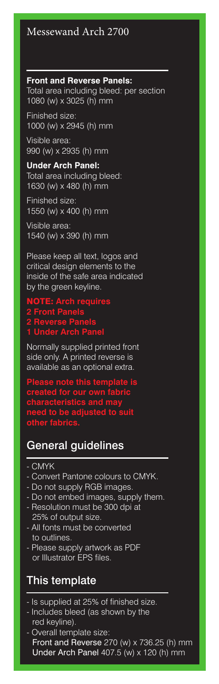## Messewand Arch 2700

### **Front and Reverse Panels:**

Total area including bleed: per section 1080 (w) x 3025 (h) mm

Finished size: 1000 (w) x 2945 (h) mm

Visible area: 990 (w) x 2935 (h) mm

### **Under Arch Panel:**

Total area including bleed: 1630 (w) x 480 (h) mm

Finished size: 1550 (w) x 400 (h) mm

Visible area: 1540 (w) x 390 (h) mm

Please keep all text, logos and critical design elements to the inside of the safe area indicated by the green keyline.

## NOTE: **Arch requires 2 Front Panels 2 Reverse Panels 1 Under Arch Panel**

Normally supplied printed front side only. A printed reverse is available as an optional extra.

**Please note this template is created for our own fabric characteristics and may need to be adjusted to suit** 

#### **other fabrics.**

# General guidelines

- CMYK
- Convert Pantone colours to CMYK.
- Do not supply RGB images.
- Do not embed images, supply them.
- Resolution must be 300 dpi at 25% of output size.
- All fonts must be converted to outlines.
- Please supply artwork as PDF or Illustrator EPS files.

# This template

- Is supplied at 25% of finished size.
- Includes bleed (as shown by the red keyline).
- Overall template size: Front and Reverse  $270 \ (w) \times 736.25 \ (h) \ mm$ Under Arch Panel 407.5 (w) x 120 (h) mm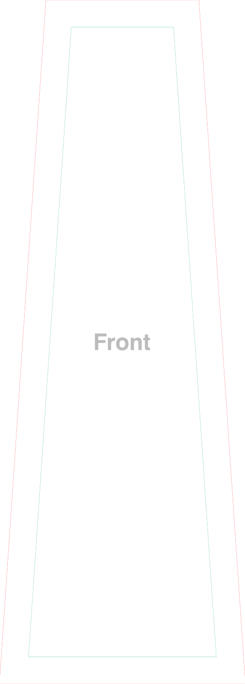

# Front

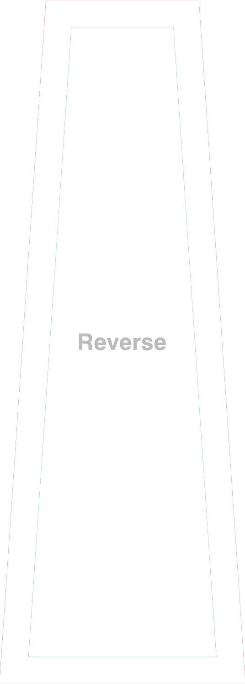

# Reverse